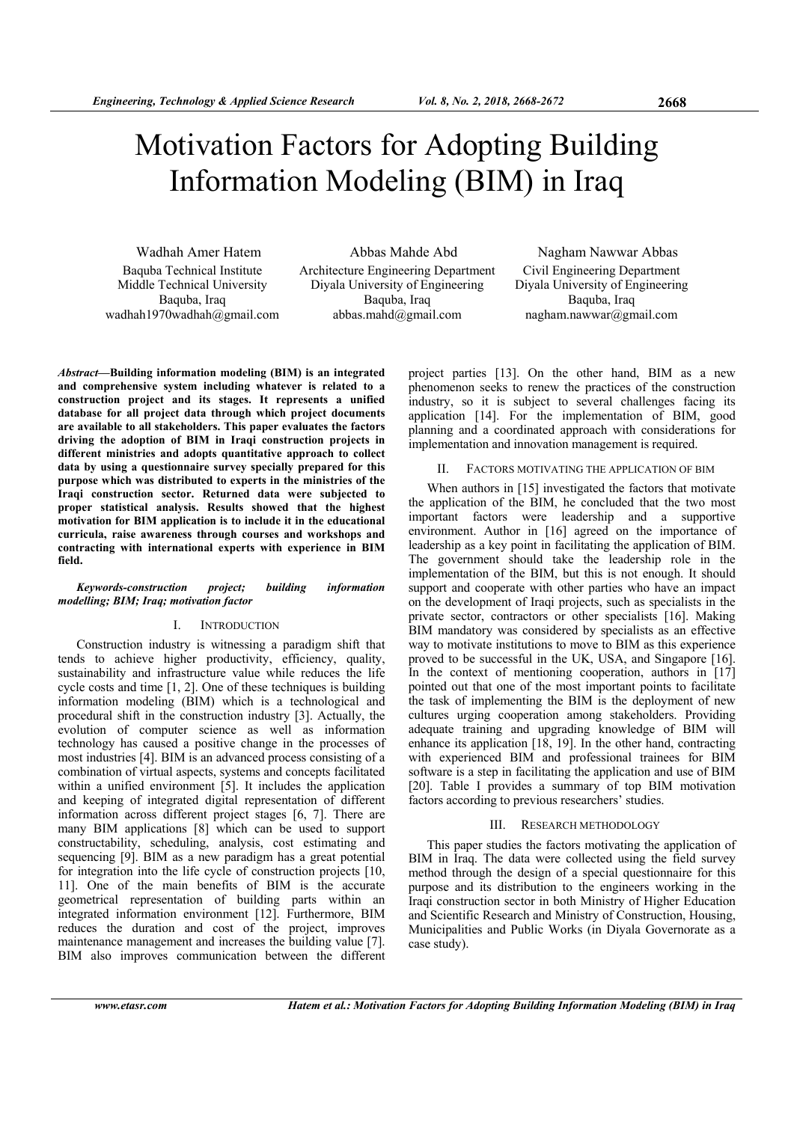# Motivation Factors for Adopting Building Information Modeling (BIM) in Iraq

Wadhah Amer Hatem Baquba Technical Institute Middle Technical University Baquba, Iraq wadhah1970wadhah@gmail.com

Abbas Mahde Abd Architecture Engineering Department Diyala University of Engineering Baquba, Iraq abbas.mahd@gmail.com

Nagham Nawwar Abbas Civil Engineering Department Diyala University of Engineering Baquba, Iraq nagham.nawwar@gmail.com

*Abstract***—Building information modeling (BIM) is an integrated and comprehensive system including whatever is related to a construction project and its stages. It represents a unified database for all project data through which project documents are available to all stakeholders. This paper evaluates the factors driving the adoption of BIM in Iraqi construction projects in different ministries and adopts quantitative approach to collect data by using a questionnaire survey specially prepared for this purpose which was distributed to experts in the ministries of the Iraqi construction sector. Returned data were subjected to proper statistical analysis. Results showed that the highest motivation for BIM application is to include it in the educational curricula, raise awareness through courses and workshops and contracting with international experts with experience in BIM field.** 

### *Keywords-construction project; building information modelling; BIM; Iraq; motivation factor*

# I. INTRODUCTION

Construction industry is witnessing a paradigm shift that tends to achieve higher productivity, efficiency, quality, sustainability and infrastructure value while reduces the life cycle costs and time [1, 2]. One of these techniques is building information modeling (BIM) which is a technological and procedural shift in the construction industry [3]. Actually, the evolution of computer science as well as information technology has caused a positive change in the processes of most industries [4]. BIM is an advanced process consisting of a combination of virtual aspects, systems and concepts facilitated within a unified environment [5]. It includes the application and keeping of integrated digital representation of different information across different project stages [6, 7]. There are many BIM applications [8] which can be used to support constructability, scheduling, analysis, cost estimating and sequencing [9]. BIM as a new paradigm has a great potential for integration into the life cycle of construction projects [10, 11]. One of the main benefits of BIM is the accurate geometrical representation of building parts within an integrated information environment [12]. Furthermore, BIM reduces the duration and cost of the project, improves maintenance management and increases the building value [7]. BIM also improves communication between the different

project parties [13]. On the other hand, BIM as a new phenomenon seeks to renew the practices of the construction industry, so it is subject to several challenges facing its application [14]. For the implementation of BIM, good planning and a coordinated approach with considerations for implementation and innovation management is required.

### II. FACTORS MOTIVATING THE APPLICATION OF BIM

When authors in [15] investigated the factors that motivate the application of the BIM, he concluded that the two most important factors were leadership and a supportive environment. Author in [16] agreed on the importance of leadership as a key point in facilitating the application of BIM. The government should take the leadership role in the implementation of the BIM, but this is not enough. It should support and cooperate with other parties who have an impact on the development of Iraqi projects, such as specialists in the private sector, contractors or other specialists [16]. Making BIM mandatory was considered by specialists as an effective way to motivate institutions to move to BIM as this experience proved to be successful in the UK, USA, and Singapore [16]. In the context of mentioning cooperation, authors in [17] pointed out that one of the most important points to facilitate the task of implementing the BIM is the deployment of new cultures urging cooperation among stakeholders. Providing adequate training and upgrading knowledge of BIM will enhance its application [18, 19]. In the other hand, contracting with experienced BIM and professional trainees for BIM software is a step in facilitating the application and use of BIM [20]. Table I provides a summary of top BIM motivation factors according to previous researchers' studies.

### III. RESEARCH METHODOLOGY

This paper studies the factors motivating the application of BIM in Iraq. The data were collected using the field survey method through the design of a special questionnaire for this purpose and its distribution to the engineers working in the Iraqi construction sector in both Ministry of Higher Education and Scientific Research and Ministry of Construction, Housing, Municipalities and Public Works (in Diyala Governorate as a case study).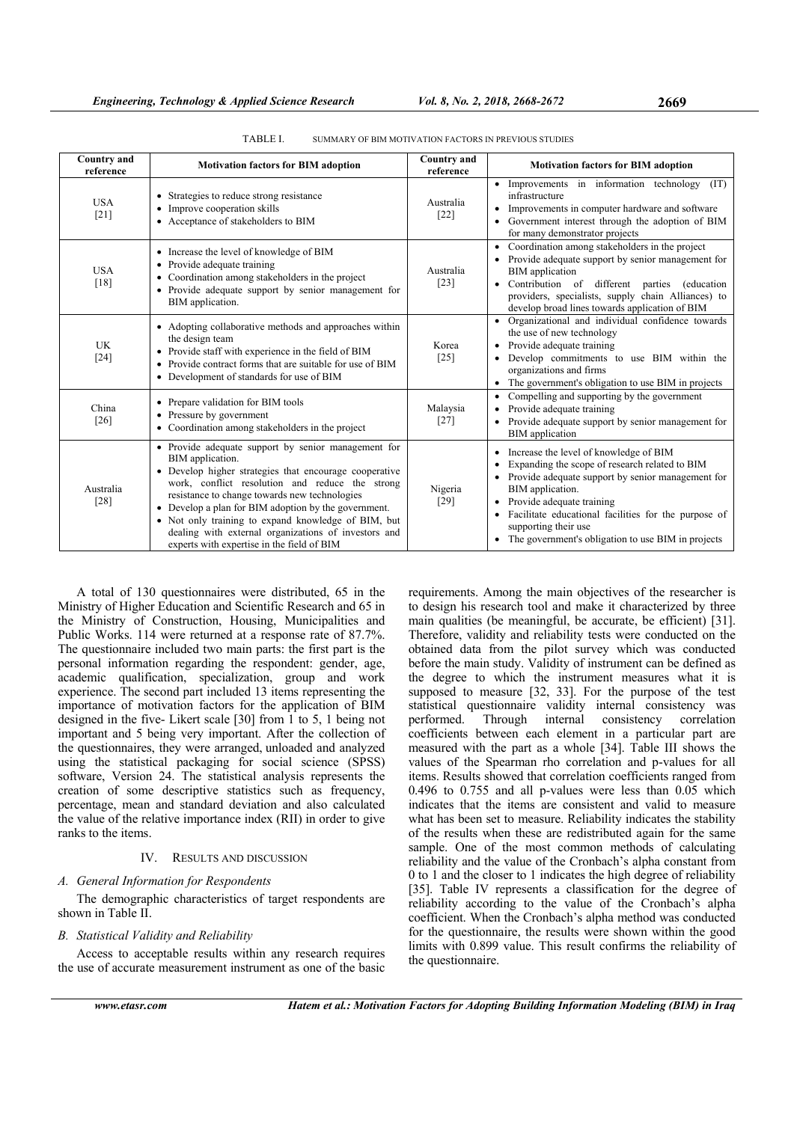| <b>Country and</b><br>reference | <b>Motivation factors for BIM adoption</b>                                                                                                                                                                                                                                                                                                                                                                                                                 | <b>Country</b> and<br>reference | <b>Motivation factors for BIM adoption</b>                                                                                                                                                                                                                                                                                                                   |
|---------------------------------|------------------------------------------------------------------------------------------------------------------------------------------------------------------------------------------------------------------------------------------------------------------------------------------------------------------------------------------------------------------------------------------------------------------------------------------------------------|---------------------------------|--------------------------------------------------------------------------------------------------------------------------------------------------------------------------------------------------------------------------------------------------------------------------------------------------------------------------------------------------------------|
| <b>USA</b><br>$[21]$            | Strategies to reduce strong resistance<br>٠<br>Improve cooperation skills<br>٠<br>• Acceptance of stakeholders to BIM                                                                                                                                                                                                                                                                                                                                      | Australia<br>$[22]$             | • Improvements in information technology<br>(TT)<br>infrastructure<br>Improvements in computer hardware and software<br>$\bullet$<br>• Government interest through the adoption of BIM<br>for many demonstrator projects                                                                                                                                     |
| <b>USA</b><br>$[18]$            | • Increase the level of knowledge of BIM<br>• Provide adequate training<br>Coordination among stakeholders in the project<br>٠<br>• Provide adequate support by senior management for<br>BIM application.                                                                                                                                                                                                                                                  | Australia<br>[23]               | Coordination among stakeholders in the project<br>$\bullet$<br>• Provide adequate support by senior management for<br><b>BIM</b> application<br>Contribution of different parties (education<br>٠<br>providers, specialists, supply chain Alliances) to<br>develop broad lines towards application of BIM                                                    |
| UK<br>$[24]$                    | • Adopting collaborative methods and approaches within<br>the design team<br>• Provide staff with experience in the field of BIM<br>Provide contract forms that are suitable for use of BIM<br>٠<br>• Development of standards for use of BIM                                                                                                                                                                                                              | Korea<br>$[25]$                 | • Organizational and individual confidence towards<br>the use of new technology<br>Provide adequate training<br>$\bullet$<br>Develop commitments to use BIM within the<br>٠<br>organizations and firms<br>• The government's obligation to use BIM in projects                                                                                               |
| China<br>$[26]$                 | • Prepare validation for BIM tools<br>• Pressure by government<br>Coordination among stakeholders in the project<br>٠                                                                                                                                                                                                                                                                                                                                      | Malaysia<br>$[27]$              | Compelling and supporting by the government<br>$\bullet$<br>Provide adequate training<br>٠<br>Provide adequate support by senior management for<br>٠<br><b>BIM</b> application                                                                                                                                                                               |
| Australia<br>[28]               | • Provide adequate support by senior management for<br>BIM application.<br>• Develop higher strategies that encourage cooperative<br>work, conflict resolution and reduce the strong<br>resistance to change towards new technologies<br>• Develop a plan for BIM adoption by the government.<br>• Not only training to expand knowledge of BIM, but<br>dealing with external organizations of investors and<br>experts with expertise in the field of BIM | Nigeria<br>$[29]$               | Increase the level of knowledge of BIM<br>٠<br>Expanding the scope of research related to BIM<br>٠<br>Provide adequate support by senior management for<br>٠<br>BIM application.<br>• Provide adequate training<br>Facilitate educational facilities for the purpose of<br>٠<br>supporting their use<br>• The government's obligation to use BIM in projects |

TABLE I. SUMMARY OF BIM MOTIVATION FACTORS IN PREVIOUS STUDIES

A total of 130 questionnaires were distributed, 65 in the Ministry of Higher Education and Scientific Research and 65 in the Ministry of Construction, Housing, Municipalities and Public Works. 114 were returned at a response rate of 87.7%. The questionnaire included two main parts: the first part is the personal information regarding the respondent: gender, age, academic qualification, specialization, group and work experience. The second part included 13 items representing the importance of motivation factors for the application of BIM designed in the five- Likert scale [30] from 1 to 5, 1 being not important and 5 being very important. After the collection of the questionnaires, they were arranged, unloaded and analyzed using the statistical packaging for social science (SPSS) software, Version 24. The statistical analysis represents the creation of some descriptive statistics such as frequency, percentage, mean and standard deviation and also calculated the value of the relative importance index (RII) in order to give ranks to the items.

# IV. RESULTS AND DISCUSSION

# *A. General Information for Respondents*

The demographic characteristics of target respondents are shown in Table II.

# *B. Statistical Validity and Reliability*

Access to acceptable results within any research requires the use of accurate measurement instrument as one of the basic requirements. Among the main objectives of the researcher is to design his research tool and make it characterized by three main qualities (be meaningful, be accurate, be efficient) [31]. Therefore, validity and reliability tests were conducted on the obtained data from the pilot survey which was conducted before the main study. Validity of instrument can be defined as the degree to which the instrument measures what it is supposed to measure [32, 33]. For the purpose of the test statistical questionnaire validity internal consistency was performed. Through internal consistency correlation coefficients between each element in a particular part are measured with the part as a whole [34]. Table III shows the values of the Spearman rho correlation and p-values for all items. Results showed that correlation coefficients ranged from 0.496 to 0.755 and all p-values were less than 0.05 which indicates that the items are consistent and valid to measure what has been set to measure. Reliability indicates the stability of the results when these are redistributed again for the same sample. One of the most common methods of calculating reliability and the value of the Cronbach's alpha constant from 0 to 1 and the closer to 1 indicates the high degree of reliability [35]. Table IV represents a classification for the degree of reliability according to the value of the Cronbach's alpha coefficient. When the Cronbach's alpha method was conducted for the questionnaire, the results were shown within the good limits with 0.899 value. This result confirms the reliability of the questionnaire.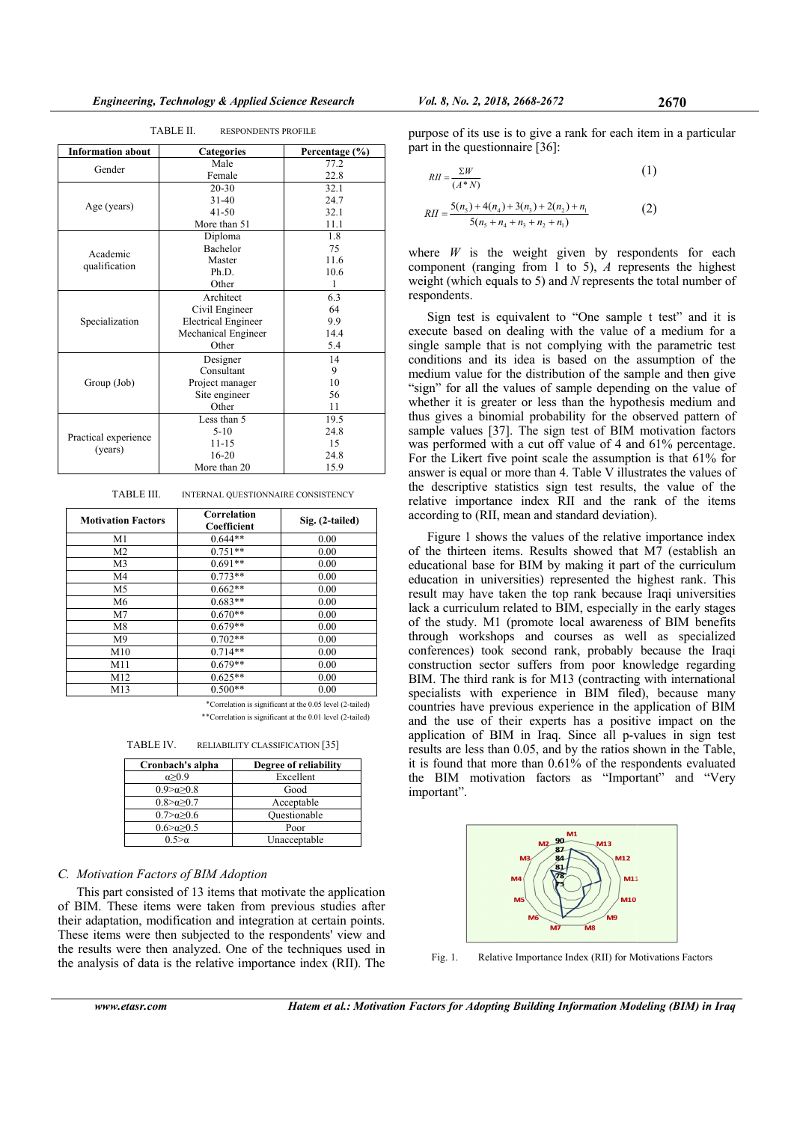**TABLE II** 

| TABLE II.<br><b>RESPONDENTS PROFILE</b> |                            |                |  |  |  |  |
|-----------------------------------------|----------------------------|----------------|--|--|--|--|
| <b>Information about</b>                | Categories                 | Percentage (%) |  |  |  |  |
| Gender                                  | Male                       | 77.2           |  |  |  |  |
|                                         | Female                     | 22.8           |  |  |  |  |
|                                         | $20 - 30$                  | 32.1           |  |  |  |  |
|                                         | $31 - 40$                  | 24.7           |  |  |  |  |
| Age (years)                             | $41 - 50$                  | 32.1           |  |  |  |  |
|                                         | More than 51               | 11.1           |  |  |  |  |
|                                         | Diploma                    | 1.8            |  |  |  |  |
| Academic                                | Bachelor                   | 75             |  |  |  |  |
|                                         | Master                     | 11.6           |  |  |  |  |
| qualification                           | Ph.D.                      | 10.6           |  |  |  |  |
|                                         | Other                      | 1              |  |  |  |  |
|                                         | Architect                  | 6.3            |  |  |  |  |
|                                         | Civil Engineer             | 64             |  |  |  |  |
| Specialization                          | <b>Electrical Engineer</b> | 9.9            |  |  |  |  |
|                                         | Mechanical Engineer        | 14.4           |  |  |  |  |
|                                         | Other                      | 5.4            |  |  |  |  |
|                                         | Designer                   | 14             |  |  |  |  |
|                                         | Consultant                 | 9              |  |  |  |  |
| Group (Job)                             | Project manager            | 10             |  |  |  |  |
|                                         | Site engineer              | 56             |  |  |  |  |
|                                         | Other                      | 11             |  |  |  |  |
|                                         | Less than 5                | 19.5           |  |  |  |  |
|                                         | $5-10$                     | 24.8           |  |  |  |  |
| Practical experience                    | $11 - 15$                  | 15             |  |  |  |  |
| (years)                                 | $16 - 20$                  | 24.8           |  |  |  |  |
|                                         | More than 20               | 15.9           |  |  |  |  |

**TARLE III** INTERNAL OUESTIONNAIRE CONSISTENCY

| <b>Motivation Factors</b> | Correlation<br>Coefficient | Sig. (2-tailed) |  |  |  |
|---------------------------|----------------------------|-----------------|--|--|--|
| M1                        | $0.644**$                  | 0.00            |  |  |  |
| M <sub>2</sub>            | $0.751**$                  | 0.00            |  |  |  |
| M <sub>3</sub>            | $0.691**$                  | 0.00            |  |  |  |
| M4                        | $0.773**$                  | 0.00            |  |  |  |
| M5                        | $0.662**$                  | 0.00            |  |  |  |
| M6                        | $0.683**$                  | 0.00            |  |  |  |
| M7                        | $0.670**$                  | 0.00            |  |  |  |
| M8                        | $0.679**$                  | 0.00            |  |  |  |
| M <sup>9</sup>            | $0.702**$                  | 0.00            |  |  |  |
| M10                       | $0.714**$                  | 0.00            |  |  |  |
| M11                       | $0.679**$                  | 0.00            |  |  |  |
| M12                       | $0.625**$                  | 0.00            |  |  |  |
| M13                       | $0.500**$                  | 0.00            |  |  |  |

\*Correlation is significant at the 0.05 level (2-tailed) \*\* Correlation is significant at the 0.01 level (2-tailed)

TABLE IV. RELIABILITY CLASSIFICATION [35]

| Cronbach's alpha        | Degree of reliability |
|-------------------------|-----------------------|
| $\alpha > 0.9$          | Excellent             |
| $0.9 > \alpha > 0.8$    | Good                  |
| $0.8 > \alpha > 0.7$    | Acceptable            |
| $0.7 > \alpha > 0.6$    | Ouestionable          |
| $0.6 > \alpha \geq 0.5$ | Poor                  |
| ∩ 5>α                   | I Inaccentable        |

#### C. Motivation Factors of BIM Adoption

This part consisted of 13 items that motivate the application of BIM. These items were taken from previous studies after their adaptation, modification and integration at certain points. These items were then subjected to the respondents' view and the results were then analyzed. One of the techniques used in the analysis of data is the relative importance index (RII). The

purpose of its use is to give a rank for each item in a particular part in the questionnaire [36]:

$$
RII = \frac{\Sigma W}{(A*N)}
$$
(1)  
5(n) + 4(n) + 3(n) + 2(n) + n (2)

$$
RII = \frac{5(n_5) + 4(n_4) + 3(n_3) + 2(n_2) + n_1}{5(n_5 + n_4 + n_3 + n_2 + n_1)}
$$
(2)

where  $W$  is the weight given by respondents for each component (ranging from 1 to 5),  $\Lambda$  represents the highest weight (which equals to 5) and  $N$  represents the total number of respondents.

Sign test is equivalent to "One sample t test" and it is execute based on dealing with the value of a medium for a single sample that is not complying with the parametric test conditions and its idea is based on the assumption of the medium value for the distribution of the sample and then give "sign" for all the values of sample depending on the value of whether it is greater or less than the hypothesis medium and thus gives a binomial probability for the observed pattern of sample values [37]. The sign test of BIM motivation factors was performed with a cut off value of 4 and 61% percentage. For the Likert five point scale the assumption is that 61% for answer is equal or more than 4. Table V illustrates the values of the descriptive statistics sign test results, the value of the relative importance index RII and the rank of the items according to (RII, mean and standard deviation).

Figure 1 shows the values of the relative importance index of the thirteen items. Results showed that M7 (establish an educational base for BIM by making it part of the curriculum education in universities) represented the highest rank. This result may have taken the top rank because Iraqi universities lack a curriculum related to BIM, especially in the early stages of the study. M1 (promote local awareness of BIM benefits through workshops and courses as well as specialized conferences) took second rank, probably because the Iraqi construction sector suffers from poor knowledge regarding BIM. The third rank is for M13 (contracting with international specialists with experience in BIM filed), because many countries have previous experience in the application of BIM and the use of their experts has a positive impact on the application of BIM in Iraq. Since all p-values in sign test results are less than 0.05, and by the ratios shown in the Table, it is found that more than  $0.61\%$  of the respondents evaluated the BIM motivation factors as "Important" and "Very important".



Fig. 1. Relative Importance Index (RII) for Motivations Factors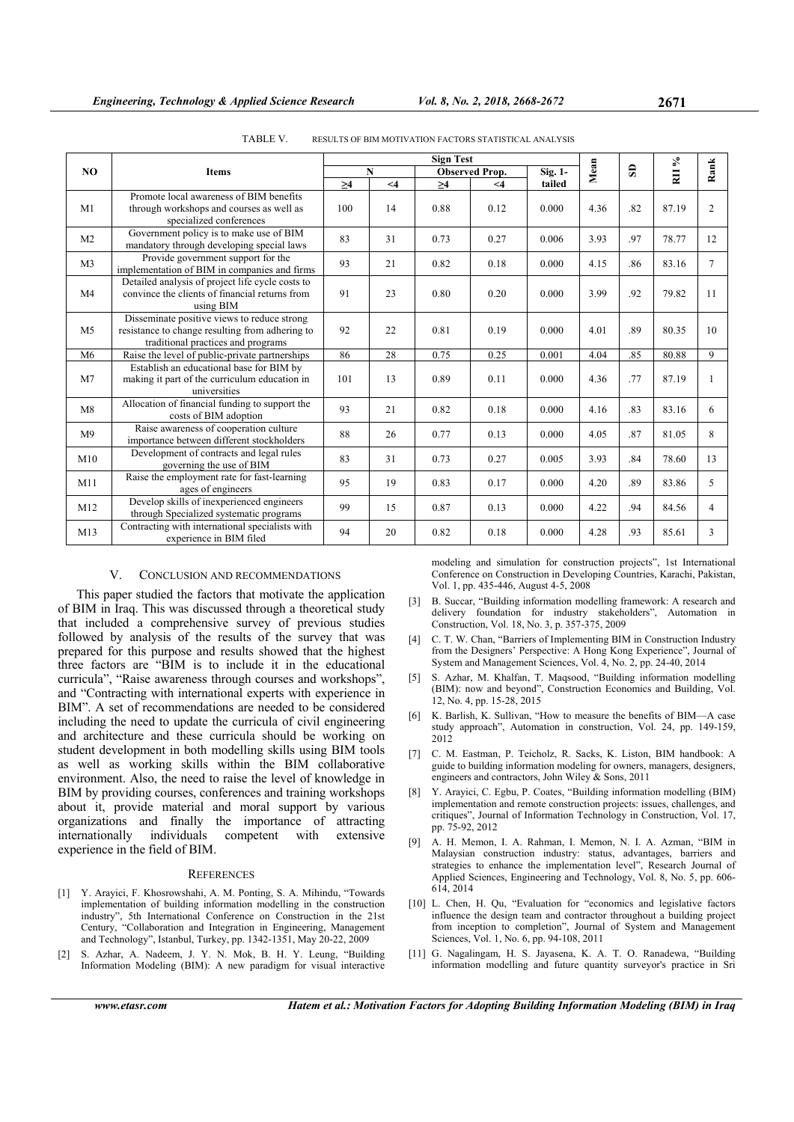|                | <b>Items</b>                                                                                                                         | <b>Sign Test</b> |       |                       |          |         |      | $\lesssim$   |                |                |
|----------------|--------------------------------------------------------------------------------------------------------------------------------------|------------------|-------|-----------------------|----------|---------|------|--------------|----------------|----------------|
| N <sub>O</sub> |                                                                                                                                      | $\mathbf N$      |       | <b>Observed Prop.</b> |          | Sig. 1- | Mean | $\mathbf{s}$ | $\overline{a}$ | Rank           |
|                |                                                                                                                                      | $\geq$ 4         | $<$ 4 | $\geq 4$              | $\leq 4$ | tailed  |      |              |                |                |
| M1             | Promote local awareness of BIM benefits<br>through workshops and courses as well as<br>specialized conferences                       | 100              | 14    | 0.88                  | 0.12     | 0.000   | 4.36 | .82          | 87.19          | $\overline{c}$ |
| M <sub>2</sub> | Government policy is to make use of BIM<br>mandatory through developing special laws                                                 | 83               | 31    | 0.73                  | 0.27     | 0.006   | 3.93 | .97          | 78.77          | 12             |
| M <sub>3</sub> | Provide government support for the<br>implementation of BIM in companies and firms                                                   | 93               | 21    | 0.82                  | 0.18     | 0.000   | 4.15 | .86          | 83.16          | $\tau$         |
| M <sub>4</sub> | Detailed analysis of project life cycle costs to<br>convince the clients of financial returns from<br>using BIM                      | 91               | 23    | 0.80                  | 0.20     | 0.000   | 3.99 | .92          | 79.82          | 11             |
| M <sub>5</sub> | Disseminate positive views to reduce strong<br>resistance to change resulting from adhering to<br>traditional practices and programs | 92               | 22    | 0.81                  | 0.19     | 0.000   | 4.01 | .89          | 80.35          | 10             |
| M <sub>6</sub> | Raise the level of public-private partnerships                                                                                       | 86               | 28    | 0.75                  | 0.25     | 0.001   | 4.04 | .85          | 80.88          | 9              |
| M <sub>7</sub> | Establish an educational base for BIM by<br>making it part of the curriculum education in<br>universities                            | 101              | 13    | 0.89                  | 0.11     | 0.000   | 4.36 | .77          | 87.19          | 1              |
| M8             | Allocation of financial funding to support the<br>costs of BIM adoption                                                              | 93               | 21    | 0.82                  | 0.18     | 0.000   | 4.16 | .83          | 83.16          | 6              |
| M <sup>9</sup> | Raise awareness of cooperation culture<br>importance between different stockholders                                                  | 88               | 26    | 0.77                  | 0.13     | 0.000   | 4.05 | .87          | 81.05          | 8              |
| M10            | Development of contracts and legal rules<br>governing the use of BIM                                                                 | 83               | 31    | 0.73                  | 0.27     | 0.005   | 3.93 | .84          | 78.60          | 13             |
| M11            | Raise the employment rate for fast-learning<br>ages of engineers                                                                     | 95               | 19    | 0.83                  | 0.17     | 0.000   | 4.20 | .89          | 83.86          | 5              |
| M12            | Develop skills of inexperienced engineers<br>through Specialized systematic programs                                                 | 99               | 15    | 0.87                  | 0.13     | 0.000   | 4.22 | .94          | 84.56          | 4              |
| M13            | Contracting with international specialists with<br>experience in BIM filed                                                           | 94               | 20    | 0.82                  | 0.18     | 0.000   | 4.28 | .93          | 85.61          | 3              |

TABLE V. RESULTS OF BIM MOTIVATION FACTORS STATISTICAL ANALYSIS

## V. CONCLUSION AND RECOMMENDATIONS

This paper studied the factors that motivate the application of BIM in Iraq. This was discussed through a theoretical study that included a comprehensive survey of previous studies followed by analysis of the results of the survey that was prepared for this purpose and results showed that the highest three factors are "BIM is to include it in the educational curricula", "Raise awareness through courses and workshops", and "Contracting with international experts with experience in BIM". A set of recommendations are needed to be considered including the need to update the curricula of civil engineering and architecture and these curricula should be working on student development in both modelling skills using BIM tools as well as working skills within the BIM collaborative environment. Also, the need to raise the level of knowledge in BIM by providing courses, conferences and training workshops about it, provide material and moral support by various organizations and finally the importance of attracting internationally individuals competent with extensive experience in the field of BIM.

#### **REFERENCES**

- [1] Y. Arayici, F. Khosrowshahi, A. M. Ponting, S. A. Mihindu, "Towards implementation of building information modelling in the construction industry", 5th International Conference on Construction in the 21st Century, "Collaboration and Integration in Engineering, Management and Technology", Istanbul, Turkey, pp. 1342-1351, May 20-22, 2009
- [2] S. Azhar, A. Nadeem, J. Y. N. Mok, B. H. Y. Leung, "Building Information Modeling (BIM): A new paradigm for visual interactive

modeling and simulation for construction projects", 1st International Conference on Construction in Developing Countries, Karachi, Pakistan, Vol. 1, pp. 435-446, August 4-5, 2008 [3] B. Succar, "Building information modelling framework: A research and

- delivery foundation for industry stakeholders", Automation in Construction, Vol. 18, No. 3, p. 357-375, 2009
- [4] C. T. W. Chan, "Barriers of Implementing BIM in Construction Industry from the Designers' Perspective: A Hong Kong Experience", Journal of System and Management Sciences, Vol. 4, No. 2, pp. 24-40, 2014
- [5] S. Azhar, M. Khalfan, T. Maqsood, "Building information modelling (BIM): now and beyond", Construction Economics and Building, Vol. 12, No. 4, pp. 15-28, 2015
- [6] K. Barlish, K. Sullivan, "How to measure the benefits of BIM—A case study approach", Automation in construction, Vol. 24, pp. 149-159, 2012
- [7] C. M. Eastman, P. Teicholz, R. Sacks, K. Liston, BIM handbook: A guide to building information modeling for owners, managers, designers, engineers and contractors, John Wiley  $\&$  Sons, 2011
- [8] Y. Arayici, C. Egbu, P. Coates, "Building information modelling (BIM) implementation and remote construction projects: issues, challenges, and critiques", Journal of Information Technology in Construction, Vol. 17, pp. 75-92, 2012
- [9] A. H. Memon, I. A. Rahman, I. Memon, N. I. A. Azman, "BIM in Malaysian construction industry: status, advantages, barriers and strategies to enhance the implementation level", Research Journal of Applied Sciences, Engineering and Technology, Vol. 8, No. 5, pp. 606- 614, 2014
- [10] L. Chen, H. Qu, "Evaluation for "economics and legislative factors influence the design team and contractor throughout a building project from inception to completion", Journal of System and Management Sciences, Vol. 1, No. 6, pp. 94-108, 2011
- [11] G. Nagalingam, H. S. Jayasena, K. A. T. O. Ranadewa, "Building information modelling and future quantity surveyor's practice in Sri